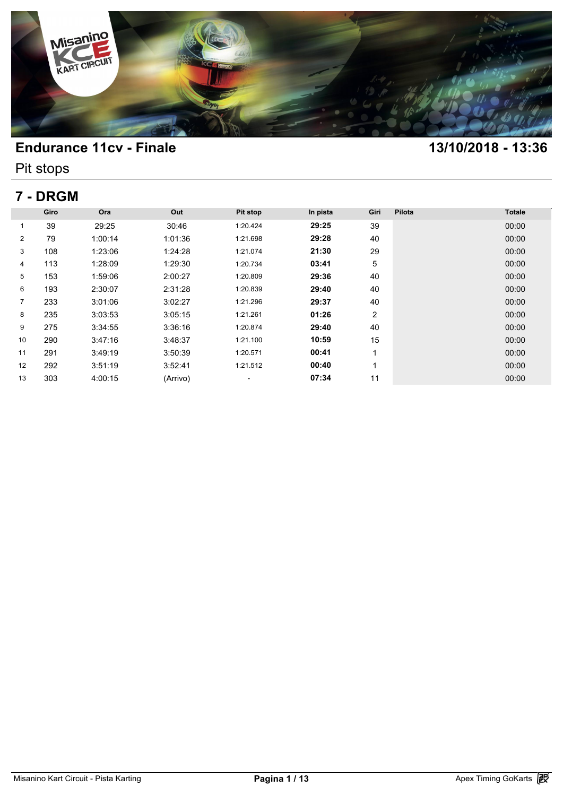

Pit stops

# **7 - DRGM**

| 7 - DRGM       |      |         |          |          |          |      |        |               |  |  |
|----------------|------|---------|----------|----------|----------|------|--------|---------------|--|--|
|                | Giro | Ora     | Out      | Pit stop | In pista | Giri | Pilota | <b>Totale</b> |  |  |
| 1              | 39   | 29:25   | 30:46    | 1:20.424 | 29:25    | 39   |        | 00:00         |  |  |
| 2              | 79   | 1:00:14 | 1:01:36  | 1:21.698 | 29:28    | 40   |        | 00:00         |  |  |
| 3              | 108  | 1:23:06 | 1:24:28  | 1:21.074 | 21:30    | 29   |        | 00:00         |  |  |
| 4              | 113  | 1:28:09 | 1:29:30  | 1:20.734 | 03:41    | 5    |        | 00:00         |  |  |
| 5              | 153  | 1:59:06 | 2:00:27  | 1:20.809 | 29:36    | 40   |        | 00:00         |  |  |
| 6              | 193  | 2:30:07 | 2:31:28  | 1:20.839 | 29:40    | 40   |        | 00:00         |  |  |
| $\overline{7}$ | 233  | 3:01:06 | 3:02:27  | 1:21.296 | 29:37    | 40   |        | 00:00         |  |  |
| 8              | 235  | 3:03:53 | 3:05:15  | 1:21.261 | 01:26    | 2    |        | 00:00         |  |  |
| 9              | 275  | 3:34:55 | 3:36:16  | 1:20.874 | 29:40    | 40   |        | 00:00         |  |  |
| 10             | 290  | 3:47:16 | 3:48:37  | 1:21.100 | 10:59    | 15   |        | 00:00         |  |  |
| 11             | 291  | 3:49:19 | 3:50:39  | 1:20.571 | 00:41    | 4    |        | 00:00         |  |  |
| 12             | 292  | 3:51:19 | 3:52:41  | 1:21.512 | 00:40    | и    |        | 00:00         |  |  |
| 13             | 303  | 4:00:15 | (Arrivo) | ۰        | 07:34    | 11   |        | 00:00         |  |  |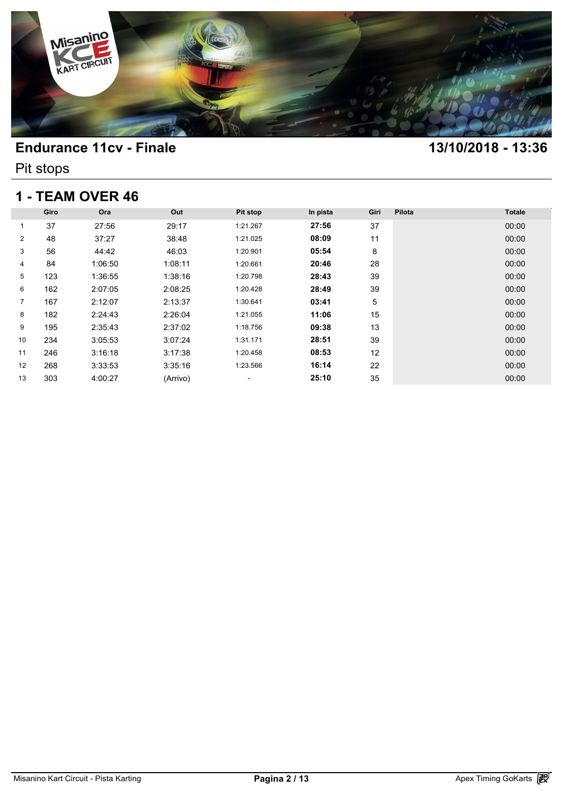

Pit stops

### **1 - TEAM OVER 46**

| 1 - TEAM OVER 46 |      |         |          |                          |          |      |        |               |  |  |
|------------------|------|---------|----------|--------------------------|----------|------|--------|---------------|--|--|
|                  | Giro | Ora     | Out      | Pit stop                 | In pista | Giri | Pilota | <b>Totale</b> |  |  |
| 1                | 37   | 27:56   | 29:17    | 1:21.267                 | 27:56    | 37   |        | 00:00         |  |  |
| $\overline{2}$   | 48   | 37:27   | 38:48    | 1:21.025                 | 08:09    | 11   |        | 00:00         |  |  |
| 3                | 56   | 44:42   | 46:03    | 1:20.901                 | 05:54    | 8    |        | 00:00         |  |  |
| 4                | 84   | 1:06:50 | 1:08:11  | 1:20.661                 | 20:46    | 28   |        | 00:00         |  |  |
| 5                | 123  | 1:36:55 | 1:38:16  | 1:20.798                 | 28:43    | 39   |        | 00:00         |  |  |
| 6                | 162  | 2:07:05 | 2:08:25  | 1:20.428                 | 28:49    | 39   |        | 00:00         |  |  |
| 7                | 167  | 2:12:07 | 2:13:37  | 1:30.641                 | 03:41    | 5    |        | 00:00         |  |  |
| 8                | 182  | 2:24:43 | 2:26:04  | 1:21.055                 | 11:06    | 15   |        | 00:00         |  |  |
| 9                | 195  | 2:35:43 | 2:37:02  | 1:18.756                 | 09:38    | 13   |        | 00:00         |  |  |
| 10               | 234  | 3:05:53 | 3:07:24  | 1:31.171                 | 28:51    | 39   |        | 00:00         |  |  |
| 11               | 246  | 3:16:18 | 3:17:38  | 1:20.458                 | 08:53    | 12   |        | 00:00         |  |  |
| 12               | 268  | 3:33:53 | 3:35:16  | 1:23.566                 | 16:14    | 22   |        | 00:00         |  |  |
| 13               | 303  | 4:00:27 | (Arrivo) | $\overline{\phantom{a}}$ | 25:10    | 35   |        | 00:00         |  |  |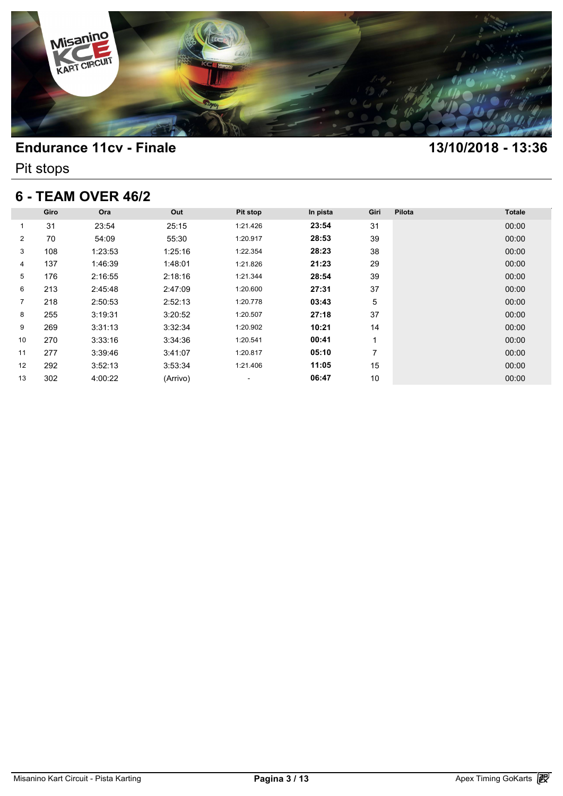

Pit stops

### **6 - TEAM OVER 46/2**

| 6 - TEAM OVER 46/2 |      |         |          |                          |          |      |        |               |  |  |
|--------------------|------|---------|----------|--------------------------|----------|------|--------|---------------|--|--|
|                    | Giro | Ora     | Out      | Pit stop                 | In pista | Giri | Pilota | <b>Totale</b> |  |  |
| 1                  | 31   | 23:54   | 25:15    | 1:21.426                 | 23:54    | 31   |        | 00:00         |  |  |
| $\overline{2}$     | 70   | 54:09   | 55:30    | 1:20.917                 | 28:53    | 39   |        | 00:00         |  |  |
| 3                  | 108  | 1:23:53 | 1:25:16  | 1:22.354                 | 28:23    | 38   |        | 00:00         |  |  |
| 4                  | 137  | 1:46:39 | 1:48:01  | 1:21.826                 | 21:23    | 29   |        | 00:00         |  |  |
| 5                  | 176  | 2:16:55 | 2:18:16  | 1:21.344                 | 28:54    | 39   |        | 00:00         |  |  |
| 6                  | 213  | 2:45:48 | 2:47:09  | 1:20.600                 | 27:31    | 37   |        | 00:00         |  |  |
| $\overline{7}$     | 218  | 2:50:53 | 2:52:13  | 1:20.778                 | 03:43    | 5    |        | 00:00         |  |  |
| 8                  | 255  | 3:19:31 | 3:20:52  | 1:20.507                 | 27:18    | 37   |        | 00:00         |  |  |
| 9                  | 269  | 3:31:13 | 3:32:34  | 1:20.902                 | 10:21    | 14   |        | 00:00         |  |  |
| 10                 | 270  | 3:33:16 | 3:34:36  | 1:20.541                 | 00:41    | 1    |        | 00:00         |  |  |
| 11                 | 277  | 3:39:46 | 3:41:07  | 1:20.817                 | 05:10    | 7    |        | 00:00         |  |  |
| 12                 | 292  | 3:52:13 | 3:53:34  | 1:21.406                 | 11:05    | 15   |        | 00:00         |  |  |
| 13                 | 302  | 4:00:22 | (Arrivo) | $\overline{\phantom{a}}$ | 06:47    | 10   |        | 00:00         |  |  |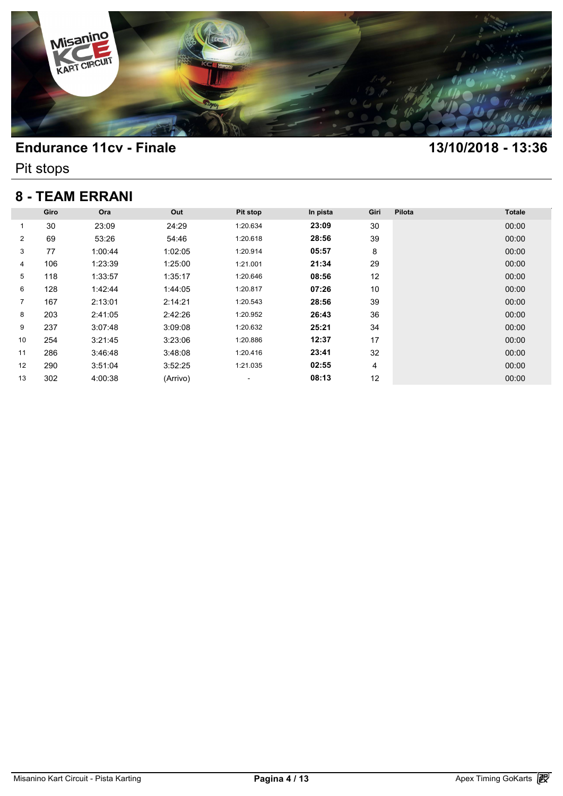

Pit stops

## **8 - TEAM ERRANI**

|                |      | <b>8 - TEAM ERRANI</b> |          |                          |          |      |        |               |
|----------------|------|------------------------|----------|--------------------------|----------|------|--------|---------------|
|                | Giro | Ora                    | Out      | Pit stop                 | In pista | Giri | Pilota | <b>Totale</b> |
| 1              | 30   | 23:09                  | 24:29    | 1:20.634                 | 23:09    | 30   |        | 00:00         |
| $\overline{2}$ | 69   | 53:26                  | 54:46    | 1:20.618                 | 28:56    | 39   |        | 00:00         |
| 3              | 77   | 1:00:44                | 1:02:05  | 1:20.914                 | 05:57    | 8    |        | 00:00         |
| 4              | 106  | 1:23:39                | 1:25:00  | 1:21.001                 | 21:34    | 29   |        | 00:00         |
| 5              | 118  | 1:33:57                | 1:35:17  | 1:20.646                 | 08:56    | 12   |        | 00:00         |
| 6              | 128  | 1:42:44                | 1:44:05  | 1:20.817                 | 07:26    | 10   |        | 00:00         |
| 7              | 167  | 2:13:01                | 2:14:21  | 1:20.543                 | 28:56    | 39   |        | 00:00         |
| 8              | 203  | 2:41:05                | 2:42:26  | 1:20.952                 | 26:43    | 36   |        | 00:00         |
| 9              | 237  | 3:07:48                | 3:09:08  | 1:20.632                 | 25:21    | 34   |        | 00:00         |
| 10             | 254  | 3:21:45                | 3:23:06  | 1:20.886                 | 12:37    | 17   |        | 00:00         |
| 11             | 286  | 3:46:48                | 3:48:08  | 1:20.416                 | 23:41    | 32   |        | 00:00         |
| 12             | 290  | 3:51:04                | 3:52:25  | 1:21.035                 | 02:55    | 4    |        | 00:00         |
| 13             | 302  | 4:00:38                | (Arrivo) | $\overline{\phantom{a}}$ | 08:13    | 12   |        | 00:00         |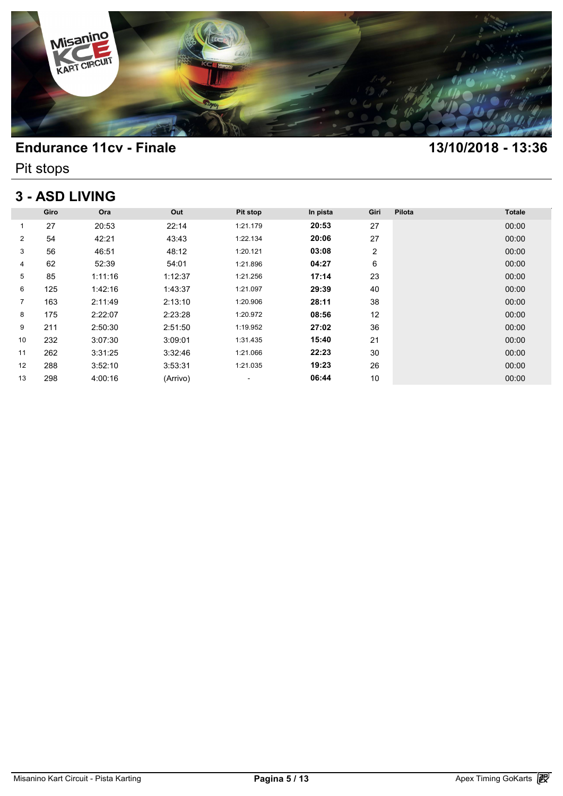

Pit stops

# **3 - ASD LIVING**

| <b>3 - ASD LIVING</b> |      |         |          |                          |          |      |        |               |  |  |  |
|-----------------------|------|---------|----------|--------------------------|----------|------|--------|---------------|--|--|--|
|                       | Giro | Ora     | Out      | Pit stop                 | In pista | Giri | Pilota | <b>Totale</b> |  |  |  |
| 1                     | 27   | 20:53   | 22:14    | 1:21.179                 | 20:53    | 27   |        | 00:00         |  |  |  |
| $\overline{2}$        | 54   | 42:21   | 43:43    | 1:22.134                 | 20:06    | 27   |        | 00:00         |  |  |  |
| 3                     | 56   | 46:51   | 48:12    | 1:20.121                 | 03:08    | 2    |        | 00:00         |  |  |  |
| 4                     | 62   | 52:39   | 54:01    | 1:21.896                 | 04:27    | 6    |        | 00:00         |  |  |  |
| 5                     | 85   | 1:11:16 | 1:12:37  | 1:21.256                 | 17:14    | 23   |        | 00:00         |  |  |  |
| 6                     | 125  | 1:42:16 | 1:43:37  | 1:21.097                 | 29:39    | 40   |        | 00:00         |  |  |  |
| $\overline{7}$        | 163  | 2:11:49 | 2:13:10  | 1:20.906                 | 28:11    | 38   |        | 00:00         |  |  |  |
| 8                     | 175  | 2:22:07 | 2:23:28  | 1:20.972                 | 08:56    | 12   |        | 00:00         |  |  |  |
| 9                     | 211  | 2:50:30 | 2:51:50  | 1:19.952                 | 27:02    | 36   |        | 00:00         |  |  |  |
| 10                    | 232  | 3:07:30 | 3:09:01  | 1:31.435                 | 15:40    | 21   |        | 00:00         |  |  |  |
| 11                    | 262  | 3:31:25 | 3:32:46  | 1:21.066                 | 22:23    | 30   |        | 00:00         |  |  |  |
| 12                    | 288  | 3:52:10 | 3:53:31  | 1:21.035                 | 19:23    | 26   |        | 00:00         |  |  |  |
| 13                    | 298  | 4:00:16 | (Arrivo) | $\overline{\phantom{a}}$ | 06:44    | 10   |        | 00:00         |  |  |  |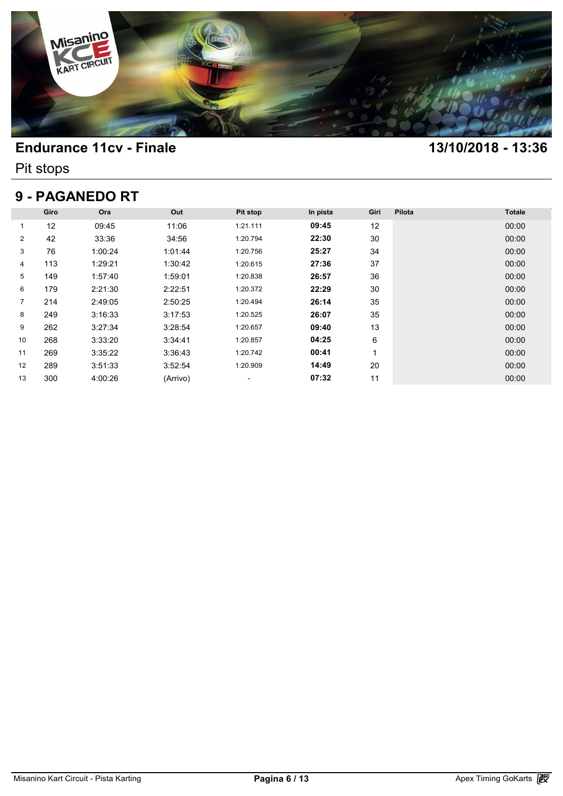

Pit stops

# **9 - PAGANEDO RT**

| 9 - PAGANEDO RT |      |         |          |          |          |      |        |               |  |  |  |
|-----------------|------|---------|----------|----------|----------|------|--------|---------------|--|--|--|
|                 | Giro | Ora     | Out      | Pit stop | In pista | Giri | Pilota | <b>Totale</b> |  |  |  |
| 1               | 12   | 09:45   | 11:06    | 1:21.111 | 09:45    | 12   |        | 00:00         |  |  |  |
| $\overline{2}$  | 42   | 33:36   | 34:56    | 1:20.794 | 22:30    | 30   |        | 00:00         |  |  |  |
| 3               | 76   | 1:00:24 | 1:01:44  | 1:20.756 | 25:27    | 34   |        | 00:00         |  |  |  |
| 4               | 113  | 1:29:21 | 1:30:42  | 1:20.615 | 27:36    | 37   |        | 00:00         |  |  |  |
| 5               | 149  | 1:57:40 | 1:59:01  | 1:20.838 | 26:57    | 36   |        | 00:00         |  |  |  |
| 6               | 179  | 2:21:30 | 2:22:51  | 1:20.372 | 22:29    | 30   |        | 00:00         |  |  |  |
| 7               | 214  | 2:49:05 | 2:50:25  | 1:20.494 | 26:14    | 35   |        | 00:00         |  |  |  |
| 8               | 249  | 3:16:33 | 3:17:53  | 1:20.525 | 26:07    | 35   |        | 00:00         |  |  |  |
| 9               | 262  | 3:27:34 | 3:28:54  | 1:20.657 | 09:40    | 13   |        | 00:00         |  |  |  |
| 10              | 268  | 3:33:20 | 3:34:41  | 1:20.857 | 04:25    | 6    |        | 00:00         |  |  |  |
| 11              | 269  | 3:35:22 | 3:36:43  | 1:20.742 | 00:41    | 4    |        | 00:00         |  |  |  |
| 12              | 289  | 3:51:33 | 3:52:54  | 1:20.909 | 14:49    | 20   |        | 00:00         |  |  |  |
| 13              | 300  | 4:00:26 | (Arrivo) | ۰        | 07:32    | 11   |        | 00:00         |  |  |  |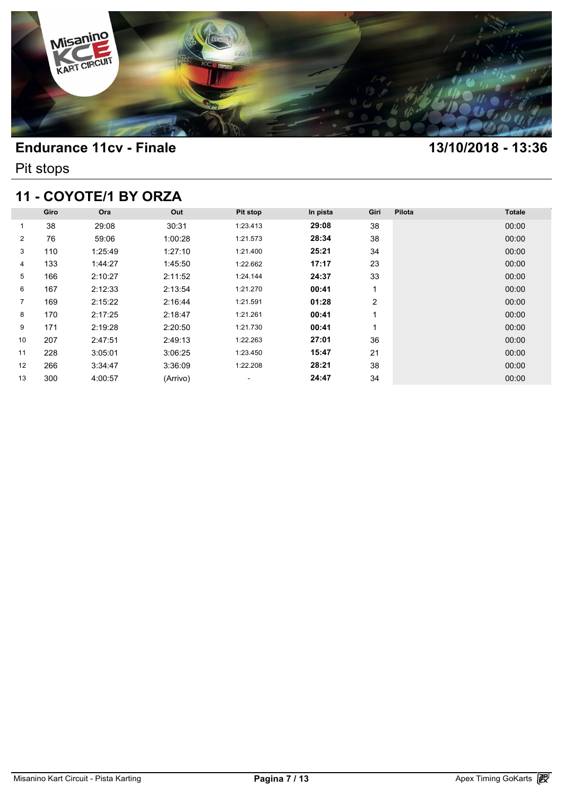

Pit stops

# **11 - COYOTE/1 BY ORZA**

| 11 - COYOTE/1 BY ORZA |      |         |          |          |          |                |        |               |  |  |  |
|-----------------------|------|---------|----------|----------|----------|----------------|--------|---------------|--|--|--|
|                       | Giro | Ora     | Out      | Pit stop | In pista | Giri           | Pilota | <b>Totale</b> |  |  |  |
| 1                     | 38   | 29:08   | 30:31    | 1:23.413 | 29:08    | 38             |        | 00:00         |  |  |  |
| $\overline{2}$        | 76   | 59:06   | 1:00:28  | 1:21.573 | 28:34    | 38             |        | 00:00         |  |  |  |
| 3                     | 110  | 1:25:49 | 1:27:10  | 1:21.400 | 25:21    | 34             |        | 00:00         |  |  |  |
| 4                     | 133  | 1:44:27 | 1:45:50  | 1:22.662 | 17:17    | 23             |        | 00:00         |  |  |  |
| 5                     | 166  | 2:10:27 | 2:11:52  | 1:24.144 | 24:37    | 33             |        | 00:00         |  |  |  |
| 6                     | 167  | 2:12:33 | 2:13:54  | 1:21.270 | 00:41    | 1              |        | 00:00         |  |  |  |
| $\overline{7}$        | 169  | 2:15:22 | 2:16:44  | 1:21.591 | 01:28    | $\overline{2}$ |        | 00:00         |  |  |  |
| 8                     | 170  | 2:17:25 | 2:18:47  | 1:21.261 | 00:41    |                |        | 00:00         |  |  |  |
| 9                     | 171  | 2:19:28 | 2:20:50  | 1:21.730 | 00:41    |                |        | 00:00         |  |  |  |
| 10                    | 207  | 2:47:51 | 2:49:13  | 1:22.263 | 27:01    | 36             |        | 00:00         |  |  |  |
| 11                    | 228  | 3:05:01 | 3:06:25  | 1:23.450 | 15:47    | 21             |        | 00:00         |  |  |  |
| $12 \overline{ }$     | 266  | 3:34:47 | 3:36:09  | 1:22.208 | 28:21    | 38             |        | 00:00         |  |  |  |
| 13                    | 300  | 4:00:57 | (Arrivo) | ۰        | 24:47    | 34             |        | 00:00         |  |  |  |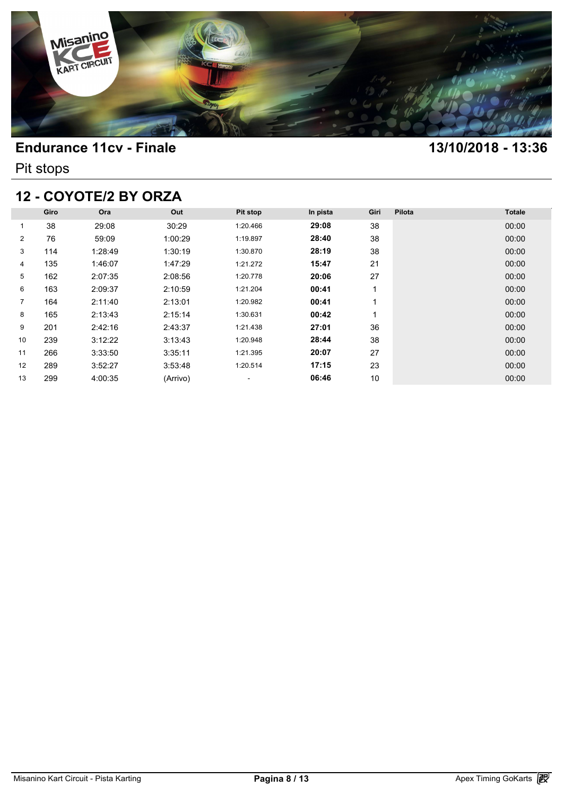

Pit stops

# **12 - COYOTE/2 BY ORZA**

| 12 - COYOTE/2 BY ORZA |      |         |          |                          |          |      |        |               |  |  |  |
|-----------------------|------|---------|----------|--------------------------|----------|------|--------|---------------|--|--|--|
|                       | Giro | Ora     | Out      | Pit stop                 | In pista | Giri | Pilota | <b>Totale</b> |  |  |  |
| 1                     | 38   | 29:08   | 30:29    | 1:20.466                 | 29:08    | 38   |        | 00:00         |  |  |  |
| $\overline{2}$        | 76   | 59:09   | 1:00:29  | 1:19.897                 | 28:40    | 38   |        | 00:00         |  |  |  |
| 3                     | 114  | 1:28:49 | 1:30:19  | 1:30.870                 | 28:19    | 38   |        | 00:00         |  |  |  |
| 4                     | 135  | 1:46:07 | 1:47:29  | 1:21.272                 | 15:47    | 21   |        | 00:00         |  |  |  |
| 5                     | 162  | 2:07:35 | 2:08:56  | 1:20.778                 | 20:06    | 27   |        | 00:00         |  |  |  |
| 6                     | 163  | 2:09:37 | 2:10:59  | 1:21.204                 | 00:41    |      |        | 00:00         |  |  |  |
| $\overline{7}$        | 164  | 2:11:40 | 2:13:01  | 1:20.982                 | 00:41    |      |        | 00:00         |  |  |  |
| 8                     | 165  | 2:13:43 | 2:15:14  | 1:30.631                 | 00:42    |      |        | 00:00         |  |  |  |
| 9                     | 201  | 2:42:16 | 2:43:37  | 1:21.438                 | 27:01    | 36   |        | 00:00         |  |  |  |
| 10                    | 239  | 3:12:22 | 3:13:43  | 1:20.948                 | 28:44    | 38   |        | 00:00         |  |  |  |
| 11                    | 266  | 3:33:50 | 3:35:11  | 1:21.395                 | 20:07    | 27   |        | 00:00         |  |  |  |
| 12                    | 289  | 3:52:27 | 3:53:48  | 1:20.514                 | 17:15    | 23   |        | 00:00         |  |  |  |
| 13                    | 299  | 4:00:35 | (Arrivo) | $\overline{\phantom{a}}$ | 06:46    | 10   |        | 00:00         |  |  |  |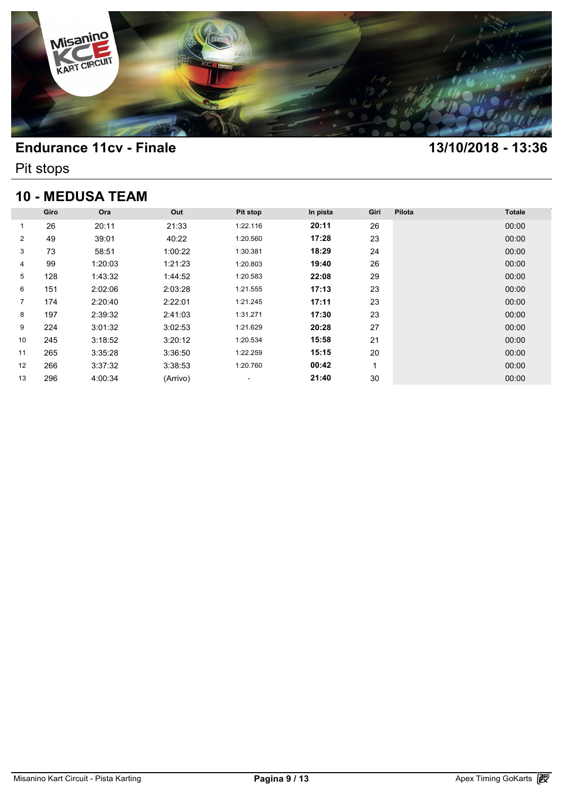

Pit stops

# **10 - MEDUSA TEAM**

| <b>10 - MEDUSA TEAM</b> |      |         |          |                          |          |      |        |               |  |  |  |
|-------------------------|------|---------|----------|--------------------------|----------|------|--------|---------------|--|--|--|
|                         | Giro | Ora     | Out      | Pit stop                 | In pista | Giri | Pilota | <b>Totale</b> |  |  |  |
| 1                       | 26   | 20:11   | 21:33    | 1:22.116                 | 20:11    | 26   |        | 00:00         |  |  |  |
| $\overline{2}$          | 49   | 39:01   | 40:22    | 1:20.560                 | 17:28    | 23   |        | 00:00         |  |  |  |
| 3                       | 73   | 58:51   | 1:00:22  | 1:30.381                 | 18:29    | 24   |        | 00:00         |  |  |  |
| 4                       | 99   | 1:20:03 | 1:21:23  | 1:20.803                 | 19:40    | 26   |        | 00:00         |  |  |  |
| 5                       | 128  | 1:43:32 | 1:44:52  | 1:20.583                 | 22:08    | 29   |        | 00:00         |  |  |  |
| 6                       | 151  | 2:02:06 | 2:03:28  | 1:21.555                 | 17:13    | 23   |        | 00:00         |  |  |  |
| $\overline{7}$          | 174  | 2:20:40 | 2:22:01  | 1:21.245                 | 17:11    | 23   |        | 00:00         |  |  |  |
| 8                       | 197  | 2:39:32 | 2:41:03  | 1:31.271                 | 17:30    | 23   |        | 00:00         |  |  |  |
| 9                       | 224  | 3:01:32 | 3:02:53  | 1:21.629                 | 20:28    | 27   |        | 00:00         |  |  |  |
| 10                      | 245  | 3:18:52 | 3:20:12  | 1:20.534                 | 15:58    | 21   |        | 00:00         |  |  |  |
| 11                      | 265  | 3:35:28 | 3:36:50  | 1:22.259                 | 15:15    | 20   |        | 00:00         |  |  |  |
| 12                      | 266  | 3:37:32 | 3:38:53  | 1:20.760                 | 00:42    | 1    |        | 00:00         |  |  |  |
| 13                      | 296  | 4:00:34 | (Arrivo) | $\overline{\phantom{a}}$ | 21:40    | 30   |        | 00:00         |  |  |  |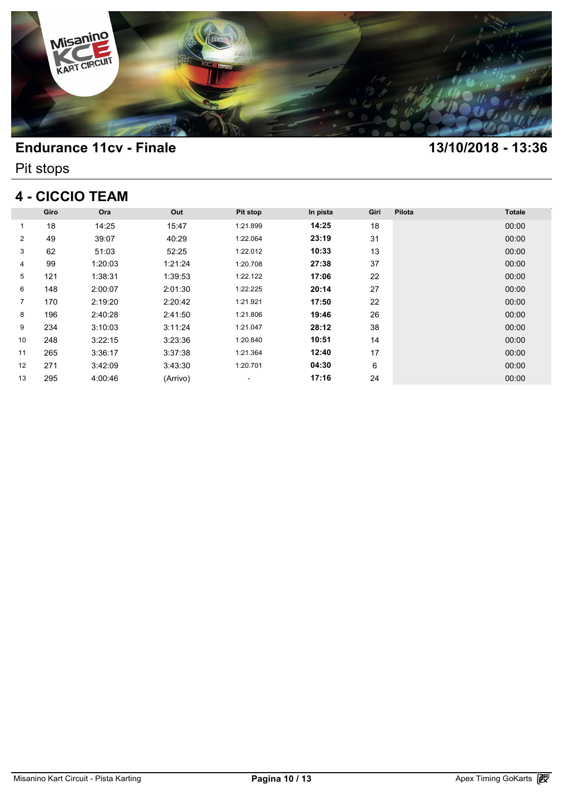

Pit stops

# **4 - CICCIO TEAM**

| 4 - CICCIO TEAM |      |         |          |          |          |      |        |               |  |  |
|-----------------|------|---------|----------|----------|----------|------|--------|---------------|--|--|
|                 | Giro | Ora     | Out      | Pit stop | In pista | Giri | Pilota | <b>Totale</b> |  |  |
| 1               | 18   | 14:25   | 15:47    | 1:21.899 | 14:25    | 18   |        | 00:00         |  |  |
| $\overline{2}$  | 49   | 39:07   | 40:29    | 1:22.064 | 23:19    | 31   |        | 00:00         |  |  |
| 3               | 62   | 51:03   | 52:25    | 1:22.012 | 10:33    | 13   |        | 00:00         |  |  |
| 4               | 99   | 1:20:03 | 1:21:24  | 1:20.708 | 27:38    | 37   |        | 00:00         |  |  |
| 5               | 121  | 1:38:31 | 1:39:53  | 1:22.122 | 17:06    | 22   |        | 00:00         |  |  |
| 6               | 148  | 2:00:07 | 2:01:30  | 1:22.225 | 20:14    | 27   |        | 00:00         |  |  |
| $\overline{7}$  | 170  | 2:19:20 | 2:20:42  | 1:21.921 | 17:50    | 22   |        | 00:00         |  |  |
| 8               | 196  | 2:40:28 | 2:41:50  | 1:21.806 | 19:46    | 26   |        | 00:00         |  |  |
| 9               | 234  | 3:10:03 | 3:11:24  | 1:21.047 | 28:12    | 38   |        | 00:00         |  |  |
| 10              | 248  | 3:22:15 | 3:23:36  | 1:20.840 | 10:51    | 14   |        | 00:00         |  |  |
| 11              | 265  | 3:36:17 | 3:37:38  | 1:21.364 | 12:40    | 17   |        | 00:00         |  |  |
| 12              | 271  | 3:42:09 | 3:43:30  | 1:20.701 | 04:30    | 6    |        | 00:00         |  |  |
| 13              | 295  | 4:00:46 | (Arrivo) | ۰        | 17:16    | 24   |        | 00:00         |  |  |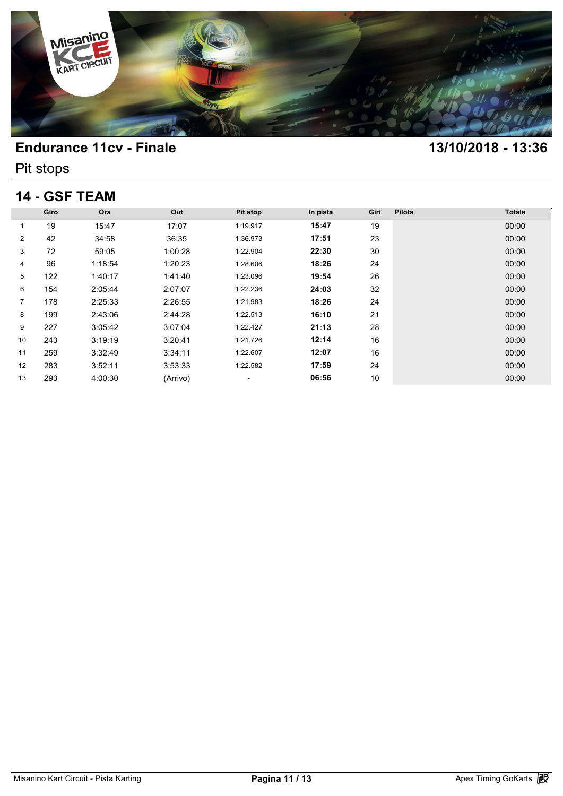

Pit stops

### **14 - GSF TEAM**

| 14 - GSF TEAM  |      |         |          |          |          |      |        |               |  |  |
|----------------|------|---------|----------|----------|----------|------|--------|---------------|--|--|
|                | Giro | Ora     | Out      | Pit stop | In pista | Giri | Pilota | <b>Totale</b> |  |  |
| 1              | 19   | 15:47   | 17:07    | 1:19.917 | 15:47    | 19   |        | 00:00         |  |  |
| $\overline{2}$ | 42   | 34:58   | 36:35    | 1:36.973 | 17:51    | 23   |        | 00:00         |  |  |
| 3              | 72   | 59:05   | 1:00:28  | 1:22.904 | 22:30    | 30   |        | 00:00         |  |  |
| 4              | 96   | 1:18:54 | 1:20:23  | 1:28.606 | 18:26    | 24   |        | 00:00         |  |  |
| 5              | 122  | 1:40:17 | 1:41:40  | 1:23.096 | 19:54    | 26   |        | 00:00         |  |  |
| 6              | 154  | 2:05:44 | 2:07:07  | 1:22.236 | 24:03    | 32   |        | 00:00         |  |  |
| $\overline{7}$ | 178  | 2:25:33 | 2:26:55  | 1:21.983 | 18:26    | 24   |        | 00:00         |  |  |
| 8              | 199  | 2:43:06 | 2:44:28  | 1:22.513 | 16:10    | 21   |        | 00:00         |  |  |
| 9              | 227  | 3:05:42 | 3:07:04  | 1:22.427 | 21:13    | 28   |        | 00:00         |  |  |
| 10             | 243  | 3:19:19 | 3:20:41  | 1:21.726 | 12:14    | 16   |        | 00:00         |  |  |
| 11             | 259  | 3:32:49 | 3:34:11  | 1:22.607 | 12:07    | 16   |        | 00:00         |  |  |
| 12             | 283  | 3:52:11 | 3:53:33  | 1:22.582 | 17:59    | 24   |        | 00:00         |  |  |
| 13             | 293  | 4:00:30 | (Arrivo) | ۰        | 06:56    | 10   |        | 00:00         |  |  |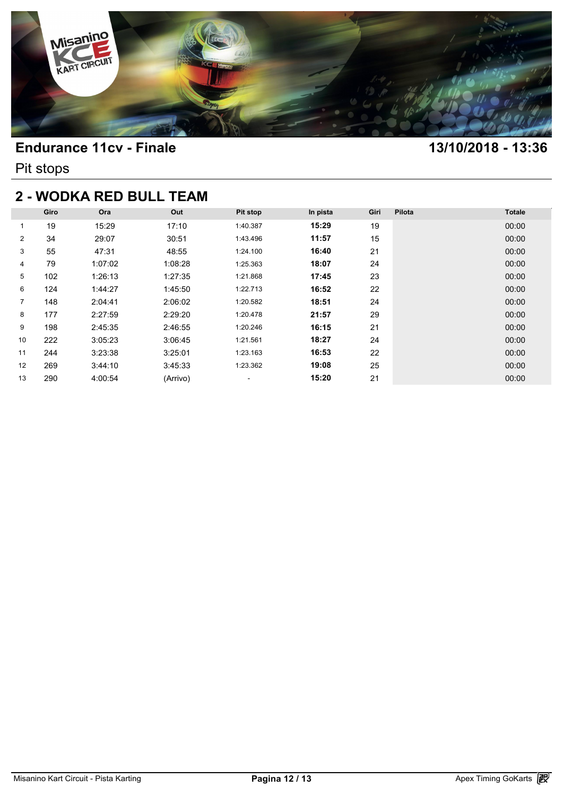

Pit stops

## **2 - WODKA RED BULL TEAM**

| <b>2 - WODKA RED BULL TEAM</b> |      |         |          |                          |          |      |        |               |  |  |  |
|--------------------------------|------|---------|----------|--------------------------|----------|------|--------|---------------|--|--|--|
|                                | Giro | Ora     | Out      | Pit stop                 | In pista | Giri | Pilota | <b>Totale</b> |  |  |  |
| 1                              | 19   | 15:29   | 17:10    | 1:40.387                 | 15:29    | 19   |        | 00:00         |  |  |  |
| $\overline{2}$                 | 34   | 29:07   | 30:51    | 1:43.496                 | 11:57    | 15   |        | 00:00         |  |  |  |
| 3                              | 55   | 47:31   | 48:55    | 1:24.100                 | 16:40    | 21   |        | 00:00         |  |  |  |
| 4                              | 79   | 1:07:02 | 1:08:28  | 1:25.363                 | 18:07    | 24   |        | 00:00         |  |  |  |
| 5                              | 102  | 1:26:13 | 1:27:35  | 1:21.868                 | 17:45    | 23   |        | 00:00         |  |  |  |
| 6                              | 124  | 1:44:27 | 1:45:50  | 1:22.713                 | 16:52    | 22   |        | 00:00         |  |  |  |
| $\overline{7}$                 | 148  | 2:04:41 | 2:06:02  | 1:20.582                 | 18:51    | 24   |        | 00:00         |  |  |  |
| 8                              | 177  | 2:27:59 | 2:29:20  | 1:20.478                 | 21:57    | 29   |        | 00:00         |  |  |  |
| 9                              | 198  | 2:45:35 | 2:46:55  | 1:20.246                 | 16:15    | 21   |        | 00:00         |  |  |  |
| 10                             | 222  | 3:05:23 | 3:06:45  | 1:21.561                 | 18:27    | 24   |        | 00:00         |  |  |  |
| 11                             | 244  | 3:23:38 | 3:25:01  | 1:23.163                 | 16:53    | 22   |        | 00:00         |  |  |  |
| $12 \overline{ }$              | 269  | 3:44:10 | 3:45:33  | 1:23.362                 | 19:08    | 25   |        | 00:00         |  |  |  |
| 13                             | 290  | 4:00:54 | (Arrivo) | $\overline{\phantom{a}}$ | 15:20    | 21   |        | 00:00         |  |  |  |